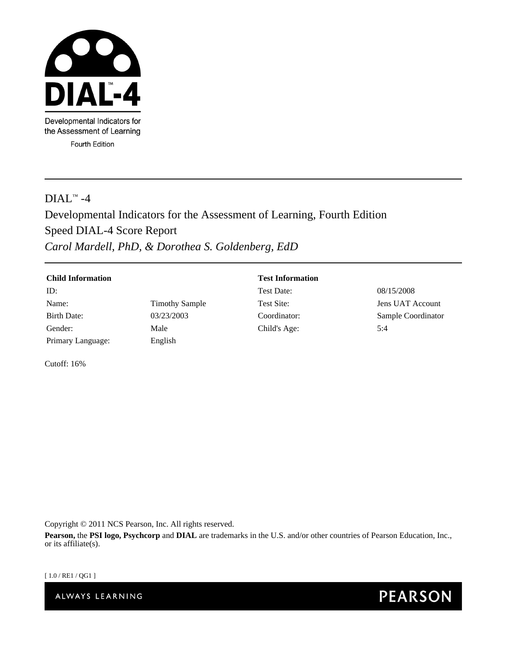

Developmental Indicators for the Assessment of Learning Fourth Edition

# $DIAL^{\text{TM}} - 4$

# Developmental Indicators for the Assessment of Learning, Fourth Edition Speed DIAL-4 Score Report *Carol Mardell, PhD, & Dorothea S. Goldenberg, EdD*

| <b>Child Information</b> |                       | <b>Test Information</b> |                    |
|--------------------------|-----------------------|-------------------------|--------------------|
| ID:                      |                       | Test Date:              | 08/15/2008         |
| Name:                    | <b>Timothy Sample</b> | Test Site:              | Jens UAT Account   |
| Birth Date:              | 03/23/2003            | Coordinator:            | Sample Coordinator |
| Gender:                  | Male                  | Child's Age:            | 5:4                |
| Primary Language:        | English               |                         |                    |

Cutoff: 16%

Copyright © 2011 NCS Pearson, Inc. All rights reserved.

**Pearson,** the **PSI logo, Psychcorp** and **DIAL** are trademarks in the U.S. and/or other countries of Pearson Education, Inc., or its affiliate(s).

[ 1.0 / RE1 / QG1 ]

ALWAYS LEARNING

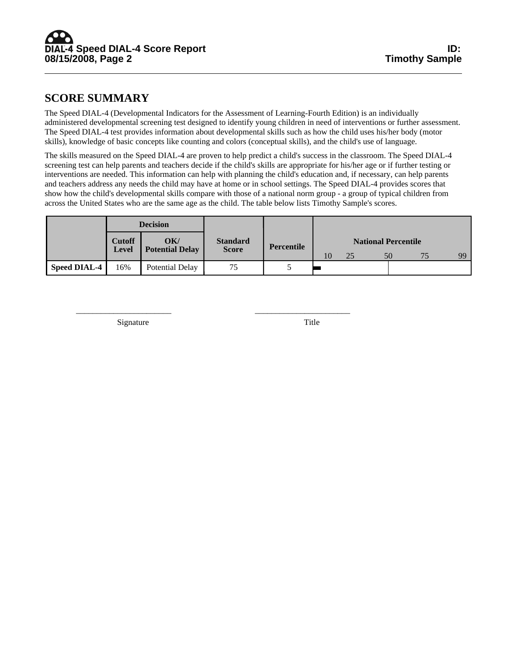# **SCORE SUMMARY**

The Speed DIAL-4 (Developmental Indicators for the Assessment of Learning-Fourth Edition) is an individually administered developmental screening test designed to identify young children in need of interventions or further assessment. The Speed DIAL-4 test provides information about developmental skills such as how the child uses his/her body (motor skills), knowledge of basic concepts like counting and colors (conceptual skills), and the child's use of language.

The skills measured on the Speed DIAL-4 are proven to help predict a child's success in the classroom. The Speed DIAL-4 screening test can help parents and teachers decide if the child's skills are appropriate for his/her age or if further testing or interventions are needed. This information can help with planning the child's education and, if necessary, can help parents and teachers address any needs the child may have at home or in school settings. The Speed DIAL-4 provides scores that show how the child's developmental skills compare with those of a national norm group - a group of typical children from across the United States who are the same age as the child. The table below lists Timothy Sample's scores.

|                     | <b>Decision</b>        |                               |                                 |            |                                                    |  |  |  |  |
|---------------------|------------------------|-------------------------------|---------------------------------|------------|----------------------------------------------------|--|--|--|--|
|                     | <b>Cutoff</b><br>Level | OK/<br><b>Potential Delay</b> | <b>Standard</b><br><b>Score</b> | Percentile | <b>National Percentile</b><br>99<br>10<br>25<br>50 |  |  |  |  |
| <b>Speed DIAL-4</b> | 16%                    | Potential Delay               | 75                              |            |                                                    |  |  |  |  |

\_\_\_\_\_\_\_\_\_\_\_\_\_\_\_\_\_\_\_\_\_\_\_ \_\_\_\_\_\_\_\_\_\_\_\_\_\_\_\_\_\_\_\_\_\_\_

Signature Title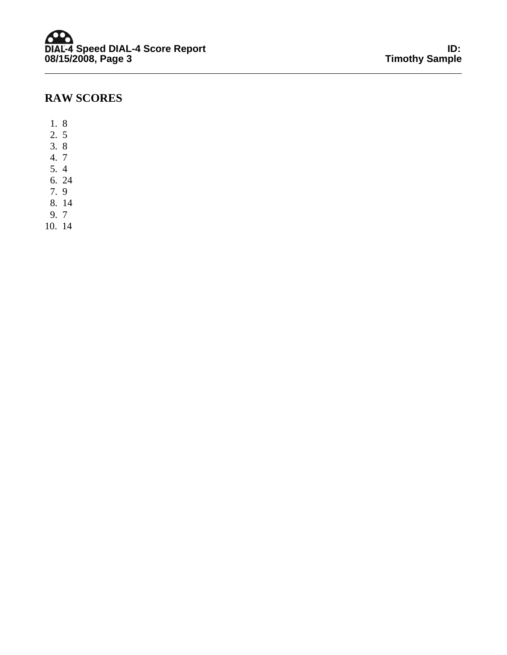# **RAW SCORES**

- 1. 8
- 2. 5
- 3. 8
- 4. 7
- 5. 4
- 6. 24
- 7. 9
- 8. 14
- 9. 7
- 10. 14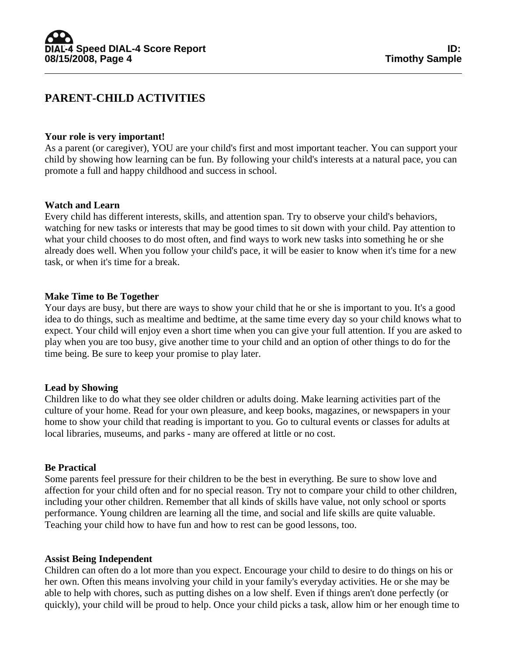# **PARENT-CHILD ACTIVITIES**

#### **Your role is very important!**

As a parent (or caregiver), YOU are your child's first and most important teacher. You can support your child by showing how learning can be fun. By following your child's interests at a natural pace, you can promote a full and happy childhood and success in school.

#### **Watch and Learn**

Every child has different interests, skills, and attention span. Try to observe your child's behaviors, watching for new tasks or interests that may be good times to sit down with your child. Pay attention to what your child chooses to do most often, and find ways to work new tasks into something he or she already does well. When you follow your child's pace, it will be easier to know when it's time for a new task, or when it's time for a break.

#### **Make Time to Be Together**

Your days are busy, but there are ways to show your child that he or she is important to you. It's a good idea to do things, such as mealtime and bedtime, at the same time every day so your child knows what to expect. Your child will enjoy even a short time when you can give your full attention. If you are asked to play when you are too busy, give another time to your child and an option of other things to do for the time being. Be sure to keep your promise to play later.

#### **Lead by Showing**

Children like to do what they see older children or adults doing. Make learning activities part of the culture of your home. Read for your own pleasure, and keep books, magazines, or newspapers in your home to show your child that reading is important to you. Go to cultural events or classes for adults at local libraries, museums, and parks - many are offered at little or no cost.

#### **Be Practical**

Some parents feel pressure for their children to be the best in everything. Be sure to show love and affection for your child often and for no special reason. Try not to compare your child to other children, including your other children. Remember that all kinds of skills have value, not only school or sports performance. Young children are learning all the time, and social and life skills are quite valuable. Teaching your child how to have fun and how to rest can be good lessons, too.

#### **Assist Being Independent**

Children can often do a lot more than you expect. Encourage your child to desire to do things on his or her own. Often this means involving your child in your family's everyday activities. He or she may be able to help with chores, such as putting dishes on a low shelf. Even if things aren't done perfectly (or quickly), your child will be proud to help. Once your child picks a task, allow him or her enough time to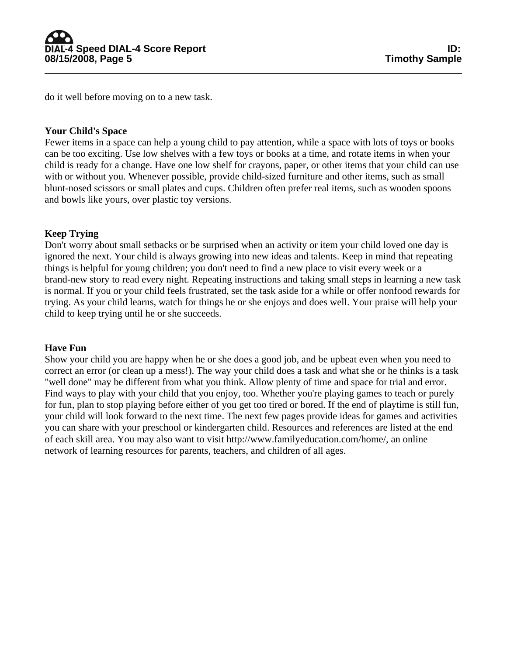do it well before moving on to a new task.

# **Your Child's Space**

Fewer items in a space can help a young child to pay attention, while a space with lots of toys or books can be too exciting. Use low shelves with a few toys or books at a time, and rotate items in when your child is ready for a change. Have one low shelf for crayons, paper, or other items that your child can use with or without you. Whenever possible, provide child-sized furniture and other items, such as small blunt-nosed scissors or small plates and cups. Children often prefer real items, such as wooden spoons and bowls like yours, over plastic toy versions.

# **Keep Trying**

Don't worry about small setbacks or be surprised when an activity or item your child loved one day is ignored the next. Your child is always growing into new ideas and talents. Keep in mind that repeating things is helpful for young children; you don't need to find a new place to visit every week or a brand-new story to read every night. Repeating instructions and taking small steps in learning a new task is normal. If you or your child feels frustrated, set the task aside for a while or offer nonfood rewards for trying. As your child learns, watch for things he or she enjoys and does well. Your praise will help your child to keep trying until he or she succeeds.

# **Have Fun**

Show your child you are happy when he or she does a good job, and be upbeat even when you need to correct an error (or clean up a mess!). The way your child does a task and what she or he thinks is a task "well done" may be different from what you think. Allow plenty of time and space for trial and error. Find ways to play with your child that you enjoy, too. Whether you're playing games to teach or purely for fun, plan to stop playing before either of you get too tired or bored. If the end of playtime is still fun, your child will look forward to the next time. The next few pages provide ideas for games and activities you can share with your preschool or kindergarten child. Resources and references are listed at the end of each skill area. You may also want to visit http://www.familyeducation.com/home/, an online network of learning resources for parents, teachers, and children of all ages.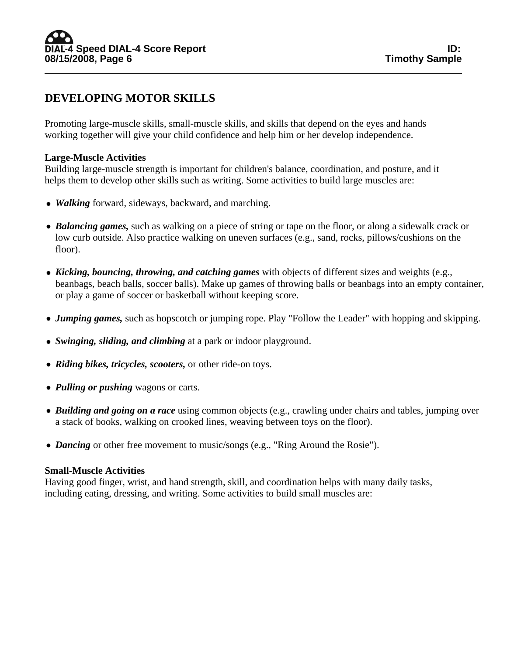# **DEVELOPING MOTOR SKILLS**

Promoting large-muscle skills, small-muscle skills, and skills that depend on the eyes and hands working together will give your child confidence and help him or her develop independence.

# **Large-Muscle Activities**

Building large-muscle strength is important for children's balance, coordination, and posture, and it helps them to develop other skills such as writing. Some activities to build large muscles are:

- *Walking* forward, sideways, backward, and marching.
- *Balancing games*, such as walking on a piece of string or tape on the floor, or along a sidewalk crack or low curb outside. Also practice walking on uneven surfaces (e.g., sand, rocks, pillows/cushions on the floor).
- *Kicking, bouncing, throwing, and catching games* with objects of different sizes and weights (e.g., beanbags, beach balls, soccer balls). Make up games of throwing balls or beanbags into an empty container, or play a game of soccer or basketball without keeping score.
- *Jumping games,* such as hopscotch or jumping rope. Play "Follow the Leader" with hopping and skipping.
- *Swinging, sliding, and climbing* at a park or indoor playground.
- *Riding bikes, tricycles, scooters, or other ride-on toys.*
- *Pulling or pushing* wagons or carts.
- *Building and going on a race* using common objects (e.g., crawling under chairs and tables, jumping over a stack of books, walking on crooked lines, weaving between toys on the floor).
- *Dancing* or other free movement to music/songs (e.g., "Ring Around the Rosie").

# **Small-Muscle Activities**

Having good finger, wrist, and hand strength, skill, and coordination helps with many daily tasks, including eating, dressing, and writing. Some activities to build small muscles are: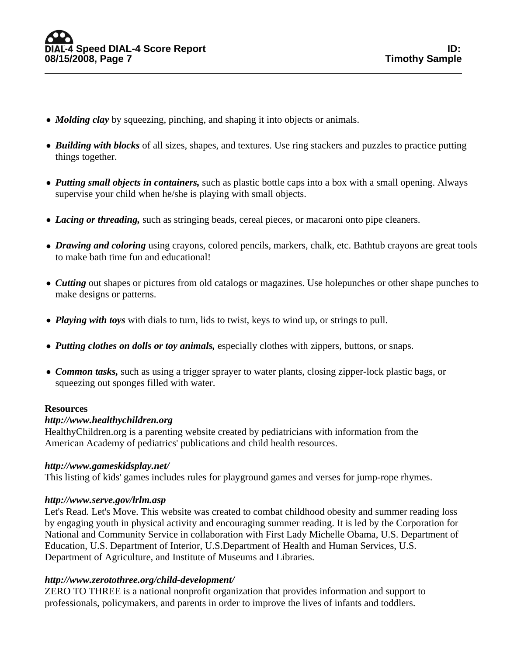- *Molding clay* by squeezing, pinching, and shaping it into objects or animals.
- *Building with blocks* of all sizes, shapes, and textures. Use ring stackers and puzzles to practice putting things together.
- *Putting small objects in containers,* such as plastic bottle caps into a box with a small opening. Always supervise your child when he/she is playing with small objects.
- *Lacing or threading*, such as stringing beads, cereal pieces, or macaroni onto pipe cleaners.
- *Drawing and coloring* using crayons, colored pencils, markers, chalk, etc. Bathtub crayons are great tools to make bath time fun and educational!
- *Cutting* out shapes or pictures from old catalogs or magazines. Use holepunches or other shape punches to make designs or patterns.
- *Playing with toys* with dials to turn, lids to twist, keys to wind up, or strings to pull.
- *Putting clothes on dolls or toy animals*, especially clothes with zippers, buttons, or snaps.
- *Common tasks*, such as using a trigger sprayer to water plants, closing zipper-lock plastic bags, or squeezing out sponges filled with water.

# **Resources**

#### *http://www.healthychildren.org*

HealthyChildren.org is a parenting website created by pediatricians with information from the American Academy of pediatrics' publications and child health resources.

# *http://www.gameskidsplay.net/*

This listing of kids' games includes rules for playground games and verses for jump-rope rhymes.

# *http://www.serve.gov/lrlm.asp*

Let's Read. Let's Move. This website was created to combat childhood obesity and summer reading loss by engaging youth in physical activity and encouraging summer reading. It is led by the Corporation for National and Community Service in collaboration with First Lady Michelle Obama, U.S. Department of Education, U.S. Department of Interior, U.S.Department of Health and Human Services, U.S. Department of Agriculture, and Institute of Museums and Libraries.

# *http://www.zerotothree.org/child-development/*

ZERO TO THREE is a national nonprofit organization that provides information and support to professionals, policymakers, and parents in order to improve the lives of infants and toddlers.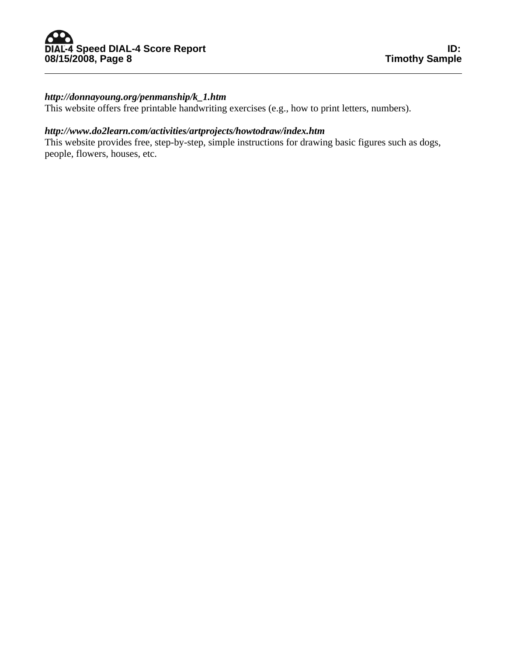# *http://donnayoung.org/penmanship/k\_1.htm*

This website offers free printable handwriting exercises (e.g., how to print letters, numbers).

# *http://www.do2learn.com/activities/artprojects/howtodraw/index.htm*

This website provides free, step-by-step, simple instructions for drawing basic figures such as dogs, people, flowers, houses, etc.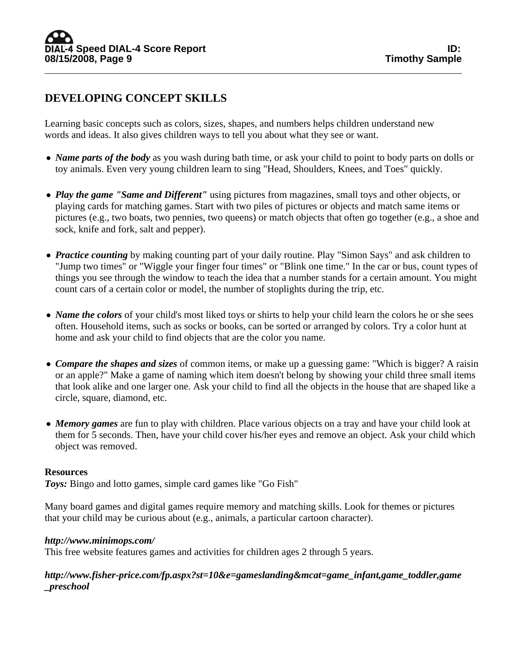# **DEVELOPING CONCEPT SKILLS**

Learning basic concepts such as colors, sizes, shapes, and numbers helps children understand new words and ideas. It also gives children ways to tell you about what they see or want.

- *Name parts of the body* as you wash during bath time, or ask your child to point to body parts on dolls or toy animals. Even very young children learn to sing "Head, Shoulders, Knees, and Toes" quickly.
- *Play the game "Same and Different"* using pictures from magazines, small toys and other objects, or playing cards for matching games. Start with two piles of pictures or objects and match same items or pictures (e.g., two boats, two pennies, two queens) or match objects that often go together (e.g., a shoe and sock, knife and fork, salt and pepper).
- *Practice counting* by making counting part of your daily routine. Play "Simon Says" and ask children to "Jump two times" or "Wiggle your finger four times" or "Blink one time." In the car or bus, count types of things you see through the window to teach the idea that a number stands for a certain amount. You might count cars of a certain color or model, the number of stoplights during the trip, etc.
- *Name the colors* of your child's most liked toys or shirts to help your child learn the colors he or she sees often. Household items, such as socks or books, can be sorted or arranged by colors. Try a color hunt at home and ask your child to find objects that are the color you name.
- *Compare the shapes and sizes* of common items, or make up a guessing game: "Which is bigger? A raisin or an apple?" Make a game of naming which item doesn't belong by showing your child three small items that look alike and one larger one. Ask your child to find all the objects in the house that are shaped like a circle, square, diamond, etc.
- *Memory games* are fun to play with children. Place various objects on a tray and have your child look at them for 5 seconds. Then, have your child cover his/her eyes and remove an object. Ask your child which object was removed.

# **Resources**

*Toys:* Bingo and lotto games, simple card games like "Go Fish"

Many board games and digital games require memory and matching skills. Look for themes or pictures that your child may be curious about (e.g., animals, a particular cartoon character).

#### *http://www.minimops.com/*

This free website features games and activities for children ages 2 through 5 years.

*http://www.fisher-price.com/fp.aspx?st=10&e=gameslanding&mcat=game\_infant,game\_toddler,game \_preschool*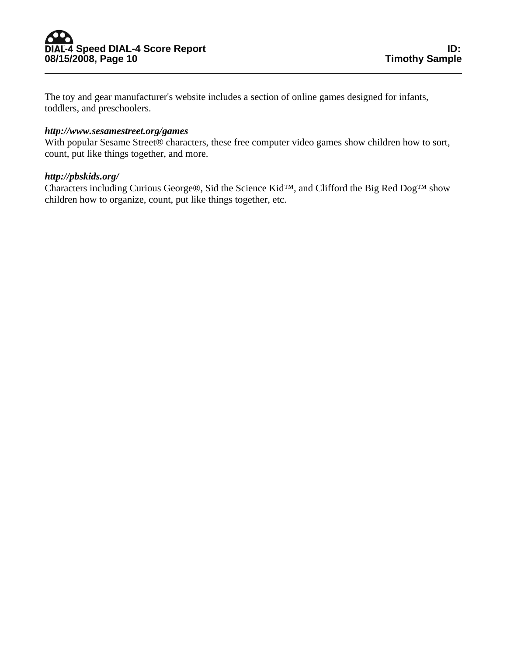The toy and gear manufacturer's website includes a section of online games designed for infants, toddlers, and preschoolers.

#### *http://www.sesamestreet.org/games*

With popular Sesame Street® characters, these free computer video games show children how to sort, count, put like things together, and more.

# *http://pbskids.org/*

Characters including Curious George®, Sid the Science Kid™, and Clifford the Big Red Dog™ show children how to organize, count, put like things together, etc.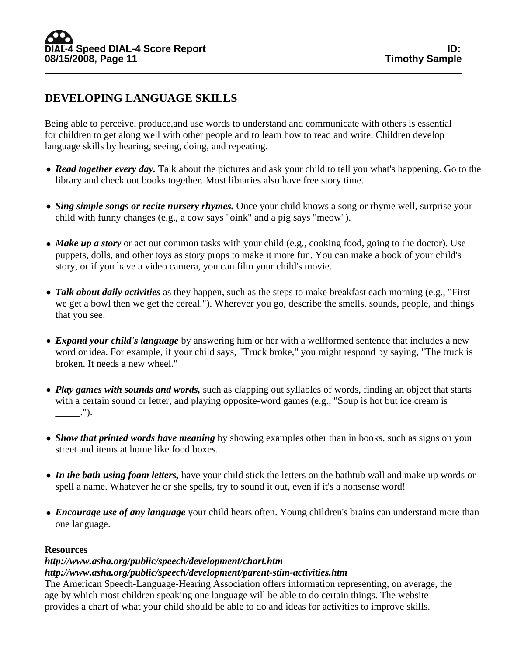# **DEVELOPING LANGUAGE SKILLS**

Being able to perceive, produce,and use words to understand and communicate with others is essential for children to get along well with other people and to learn how to read and write. Children develop language skills by hearing, seeing, doing, and repeating.

- *Read together every day*. Talk about the pictures and ask your child to tell you what's happening. Go to the library and check out books together. Most libraries also have free story time.
- *Sing simple songs or recite nursery rhymes*. Once your child knows a song or rhyme well, surprise your child with funny changes (e.g., a cow says "oink" and a pig says "meow").
- *Make up a story* or act out common tasks with your child (e.g., cooking food, going to the doctor). Use puppets, dolls, and other toys as story props to make it more fun. You can make a book of your child's story, or if you have a video camera, you can film your child's movie.
- *Talk about daily activities* as they happen, such as the steps to make breakfast each morning (e.g., "First we get a bowl then we get the cereal."). Wherever you go, describe the smells, sounds, people, and things that you see.
- *Expand your child's language* by answering him or her with a wellformed sentence that includes a new word or idea. For example, if your child says, "Truck broke," you might respond by saying, "The truck is broken. It needs a new wheel."
- *Play games with sounds and words*, such as clapping out syllables of words, finding an object that starts with a certain sound or letter, and playing opposite-word games (e.g., "Soup is hot but ice cream is \_\_\_\_\_.").
- *Show that printed words have meaning* by showing examples other than in books, such as signs on your street and items at home like food boxes.
- *In the bath using foam letters*, have your child stick the letters on the bathtub wall and make up words or spell a name. Whatever he or she spells, try to sound it out, even if it's a nonsense word!
- *Encourage use of any language* your child hears often. Young children's brains can understand more than one language.

# **Resources**

# *http://www.asha.org/public/speech/development/chart.htm*

# *http://www.asha.org/public/speech/development/parent-stim-activities.htm*

The American Speech-Language-Hearing Association offers information representing, on average, the age by which most children speaking one language will be able to do certain things. The website provides a chart of what your child should be able to do and ideas for activities to improve skills.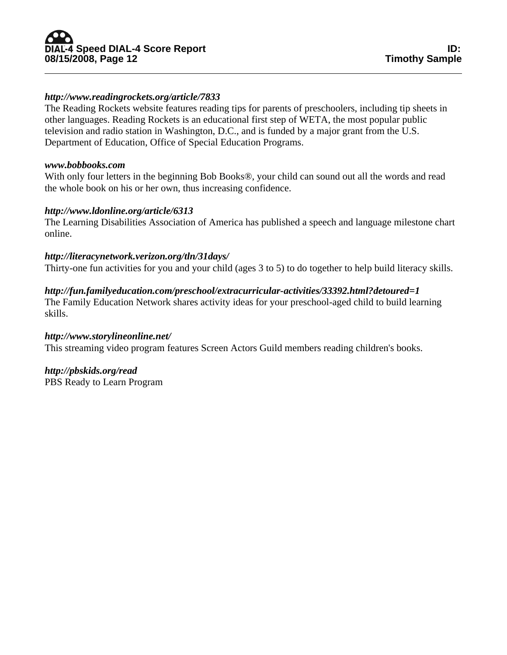# ID: ID: و <mark>DIAL-4</mark> Speed DIAL-4 Score Report<br>08/15/2008, Page 12 08/15/2008, Page 12

# *http://www.readingrockets.org/article/7833*

The Reading Rockets website features reading tips for parents of preschoolers, including tip sheets in other languages. Reading Rockets is an educational first step of WETA, the most popular public television and radio station in Washington, D.C., and is funded by a major grant from the U.S. Department of Education, Office of Special Education Programs.

#### *www.bobbooks.com*

With only four letters in the beginning Bob Books®, your child can sound out all the words and read the whole book on his or her own, thus increasing confidence.

# *http://www.ldonline.org/article/6313*

The Learning Disabilities Association of America has published a speech and language milestone chart online.

# *http://literacynetwork.verizon.org/tln/31days/*

Thirty-one fun activities for you and your child (ages 3 to 5) to do together to help build literacy skills.

# *http://fun.familyeducation.com/preschool/extracurricular-activities/33392.html?detoured=1*

The Family Education Network shares activity ideas for your preschool-aged child to build learning skills.

# *http://www.storylineonline.net/*

This streaming video program features Screen Actors Guild members reading children's books.

# *http://pbskids.org/read*

PBS Ready to Learn Program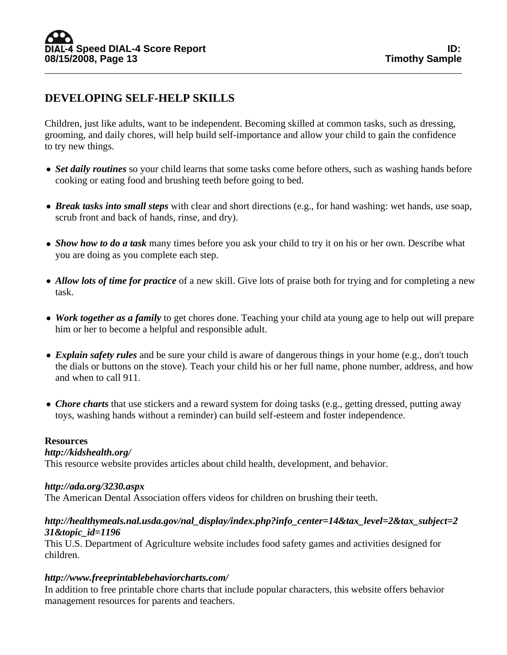# **DEVELOPING SELF-HELP SKILLS**

Children, just like adults, want to be independent. Becoming skilled at common tasks, such as dressing, grooming, and daily chores, will help build self-importance and allow your child to gain the confidence to try new things.

- *Set daily routines* so your child learns that some tasks come before others, such as washing hands before cooking or eating food and brushing teeth before going to bed.
- *Break tasks into small steps* with clear and short directions (e.g., for hand washing: wet hands, use soap, scrub front and back of hands, rinse, and dry).
- *Show how to do a task* many times before you ask your child to try it on his or her own. Describe what you are doing as you complete each step.
- *Allow lots of time for practice* of a new skill. Give lots of praise both for trying and for completing a new task.
- *Work together as a family* to get chores done. Teaching your child ata young age to help out will prepare him or her to become a helpful and responsible adult.
- *Explain safety rules* and be sure your child is aware of dangerous things in your home (e.g., don't touch the dials or buttons on the stove). Teach your child his or her full name, phone number, address, and how and when to call 911.
- *Chore charts* that use stickers and a reward system for doing tasks (e.g., getting dressed, putting away toys, washing hands without a reminder) can build self-esteem and foster independence.

# **Resources**

# *http://kidshealth.org/*

This resource website provides articles about child health, development, and behavior.

#### *http://ada.org/3230.aspx*

The American Dental Association offers videos for children on brushing their teeth.

# *http://healthymeals.nal.usda.gov/nal\_display/index.php?info\_center=14&tax\_level=2&tax\_subject=2 31&topic\_id=1196*

This U.S. Department of Agriculture website includes food safety games and activities designed for children.

# *http://www.freeprintablebehaviorcharts.com/*

In addition to free printable chore charts that include popular characters, this website offers behavior management resources for parents and teachers.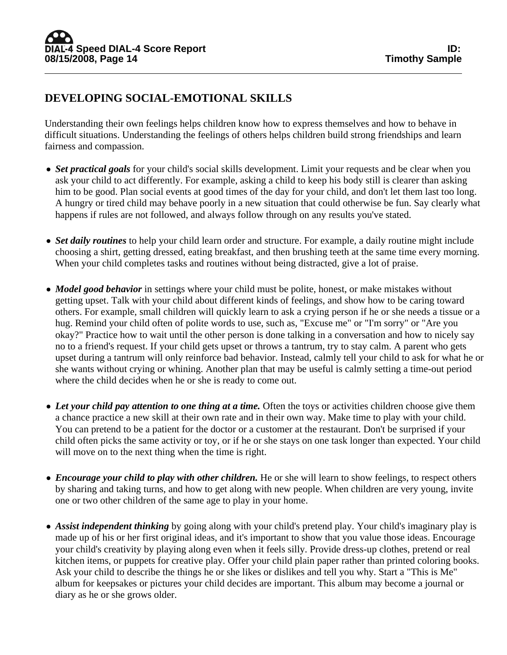# **DEVELOPING SOCIAL-EMOTIONAL SKILLS**

Understanding their own feelings helps children know how to express themselves and how to behave in difficult situations. Understanding the feelings of others helps children build strong friendships and learn fairness and compassion.

- *Set practical goals* for your child's social skills development. Limit your requests and be clear when you ask your child to act differently. For example, asking a child to keep his body still is clearer than asking him to be good. Plan social events at good times of the day for your child, and don't let them last too long. A hungry or tired child may behave poorly in a new situation that could otherwise be fun. Say clearly what happens if rules are not followed, and always follow through on any results you've stated.
- *Set daily routines* to help your child learn order and structure. For example, a daily routine might include choosing a shirt, getting dressed, eating breakfast, and then brushing teeth at the same time every morning. When your child completes tasks and routines without being distracted, give a lot of praise.
- *Model good behavior* in settings where your child must be polite, honest, or make mistakes without getting upset. Talk with your child about different kinds of feelings, and show how to be caring toward others. For example, small children will quickly learn to ask a crying person if he or she needs a tissue or a hug. Remind your child often of polite words to use, such as, "Excuse me" or "I'm sorry" or "Are you okay?" Practice how to wait until the other person is done talking in a conversation and how to nicely say no to a friend's request. If your child gets upset or throws a tantrum, try to stay calm. A parent who gets upset during a tantrum will only reinforce bad behavior. Instead, calmly tell your child to ask for what he or she wants without crying or whining. Another plan that may be useful is calmly setting a time-out period where the child decides when he or she is ready to come out.
- Let your child pay attention to one thing at a time. Often the toys or activities children choose give them a chance practice a new skill at their own rate and in their own way. Make time to play with your child. You can pretend to be a patient for the doctor or a customer at the restaurant. Don't be surprised if your child often picks the same activity or toy, or if he or she stays on one task longer than expected. Your child will move on to the next thing when the time is right.
- *Encourage your child to play with other children*. He or she will learn to show feelings, to respect others by sharing and taking turns, and how to get along with new people. When children are very young, invite one or two other children of the same age to play in your home.
- **Assist independent thinking** by going along with your child's pretend play. Your child's imaginary play is made up of his or her first original ideas, and it's important to show that you value those ideas. Encourage your child's creativity by playing along even when it feels silly. Provide dress-up clothes, pretend or real kitchen items, or puppets for creative play. Offer your child plain paper rather than printed coloring books. Ask your child to describe the things he or she likes or dislikes and tell you why. Start a "This is Me" album for keepsakes or pictures your child decides are important. This album may become a journal or diary as he or she grows older.